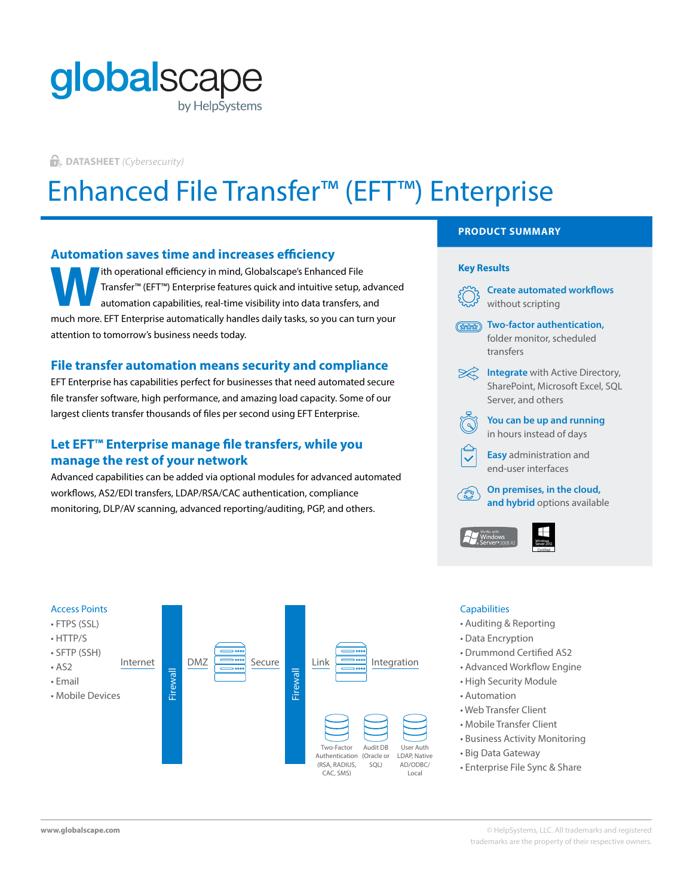## globalscape by HelpSystems

**DATASHEET** *(Cybersecurity)*

# Enhanced File Transfer™ (EFT™) Enterprise

#### **Automation saves time and increases efficiency**

ith operational efficiency in mind, Globalscape's Enhanced File Transfer™ (EFT™) Enterprise features quick and intuitive setup, advanced automation capabilities, real-time visibility into data transfers, and much more. EFT Enterprise automatically handles daily tasks, so you can turn your attention to tomorrow's business needs today. **W** Transfer™ (EFT™) Enterprise features quick and intuitive setup, advanced<br>automation capabilities, real-time visibility into data transfers, and<br>much more FFT Enterprise automatically bandles daily tasks so you see tur

#### **File transfer automation means security and compliance**

EFT Enterprise has capabilities perfect for businesses that need automated secure file transfer software, high performance, and amazing load capacity. Some of our largest clients transfer thousands of files per second using EFT Enterprise.

### **Let EFT™ Enterprise manage file transfers, while you manage the rest of your network**

Advanced capabilities can be added via optional modules for advanced automated workflows, AS2/EDI transfers, LDAP/RSA/CAC authentication, compliance monitoring, DLP/AV scanning, advanced reporting/auditing, PGP, and others.







#### **Capabilities**

- Auditing & Reporting
- Data Encryption
- Drummond Certified AS2
- Advanced Workflow Engine
- High Security Module
- Automation
- Web Transfer Client
- Mobile Transfer Client
- Business Activity Monitoring
- Big Data Gateway
- Enterprise File Sync & Share